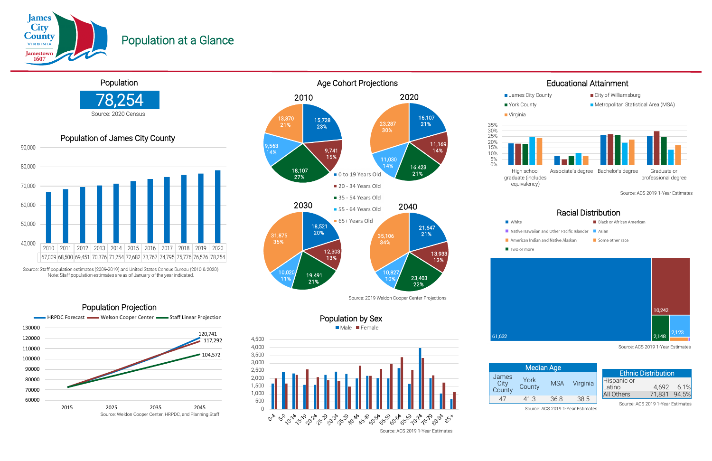#### Male Female Population by Sex

James **City County** 

61,632









Source: Staff population estimates (2009-2019) and United States Census Bureau (2010 & 2020) Note: Staff population estimates are as of January of the year indicated.







Population at a Glance

## 78,254 Population Source: 2020 Census

Population Projection

| <b>Median Age</b>          |                |            |          |  |  |
|----------------------------|----------------|------------|----------|--|--|
| <b>mes</b><br>City<br>unty | York<br>County | <b>MSA</b> | Virginia |  |  |
| 47                         | 41.3           | 36.8       | 38.5     |  |  |

|                                     | <b>Ethnic Distribution</b> |            |
|-------------------------------------|----------------------------|------------|
|                                     |                            |            |
|                                     |                            | 4,692 6.1% |
| Hispanic or<br>Latino<br>All Others | 71,831 94.5%               |            |

### Racial Distribution

- **Black or African American**
- Native Hawaiian and Other Pacific Islander Asian
	- $\blacksquare$  Some other race

Source: ACS 2019 1-Year Estimates

Source: ACS 2019 1-Year Estimates

Source: ACS 2019 1-Year Estimates

Source: ACS 2019 1-Year Estimates

Source: ACS 2019 1-Year Estimates